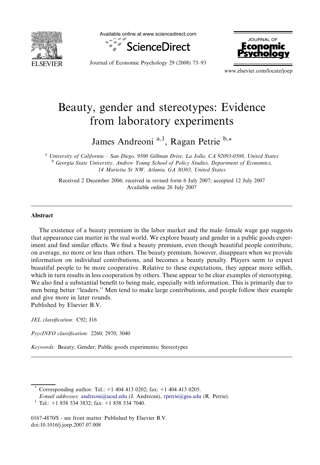

Available online at www.sciencedirect.com





Journal of Economic Psychology 29 (2008) 73–93

www.elsevier.com/locate/joep

# Beauty, gender and stereotypes: Evidence from laboratory experiments

James Andreoni<sup>a,1</sup>, Ragan Petrie b,\*

<sup>a</sup> University of California – San Diego, 9500 Gillman Drive, La Jolla, CA 92093-0508, United States <sup>b</sup> Georgia State University, Andrew Young School of Policy Studies, Department of Economics, 14 Marietta St NW, Atlanta, GA 30303, United States

Received 2 December 2006; received in revised form 6 July 2007; accepted 12 July 2007 Available online 26 July 2007

#### Abstract

The existence of a beauty premium in the labor market and the male–female wage gap suggests that appearance can matter in the real world. We explore beauty and gender in a public goods experiment and find similar effects. We find a beauty premium, even though beautiful people contribute, on average, no more or less than others. The beauty premium, however, disappears when we provide information on individual contributions, and becomes a beauty penalty. Players seem to expect beautiful people to be more cooperative. Relative to these expectations, they appear more selfish, which in turn results in less cooperation by others. These appear to be clear examples of stereotyping. We also find a substantial benefit to being male, especially with information. This is primarily due to men being better ''leaders.'' Men tend to make large contributions, and people follow their example and give more in later rounds. Published by Elsevier B.V.

JEL classification: C92; J16

PsycINFO classification: 2260; 2970; 3040

Keywords: Beauty; Gender; Public goods experiments; Stereotypes

Corresponding author. Tel.:  $+1$  404 413 0202; fax:  $+1$  404 413 0205.

E-mail addresses: [andreoni@ucsd.edu](mailto:andreoni@ucsd.edu) (J. Andreoni), [rpetrie@gsu.edu](mailto:rpetrie@gsu.edu) (R. Petrie). <sup>1</sup> Tel.: +1 858 534 3832; fax: +1 858 534 7040.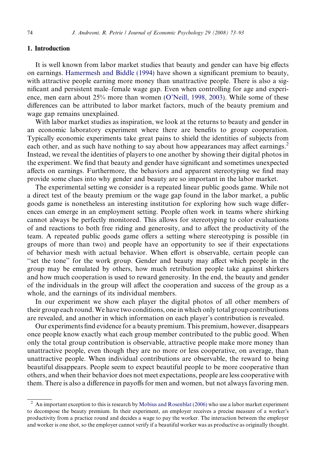# 1. Introduction

It is well known from labor market studies that beauty and gender can have big effects on earnings. [Hamermesh and Biddle \(1994\)](#page-20-0) have shown a significant premium to beauty, with attractive people earning more money than unattractive people. There is also a significant and persistent male–female wage gap. Even when controlling for age and experience, men earn about 25% more than women ([O'Neill, 1998, 2003\)](#page-20-0). While some of these differences can be attributed to labor market factors, much of the beauty premium and wage gap remains unexplained.

With labor market studies as inspiration, we look at the returns to beauty and gender in an economic laboratory experiment where there are benefits to group cooperation. Typically economic experiments take great pains to shield the identities of subjects from each other, and as such have nothing to say about how appearances may affect earnings.<sup>2</sup> Instead, we reveal the identities of players to one another by showing their digital photos in the experiment. We find that beauty and gender have significant and sometimes unexpected affects on earnings. Furthermore, the behaviors and apparent stereotyping we find may provide some clues into why gender and beauty are so important in the labor market.

The experimental setting we consider is a repeated linear public goods game. While not a direct test of the beauty premium or the wage gap found in the labor market, a public goods game is nonetheless an interesting institution for exploring how such wage differences can emerge in an employment setting. People often work in teams where shirking cannot always be perfectly monitored. This allows for stereotyping to color evaluations of and reactions to both free riding and generosity, and to affect the productivity of the team. A repeated public goods game offers a setting where stereotyping is possible (in groups of more than two) and people have an opportunity to see if their expectations of behavior mesh with actual behavior. When effort is observable, certain people can ''set the tone'' for the work group. Gender and beauty may affect which people in the group may be emulated by others, how much retribution people take against shirkers and how much cooperation is used to reward generosity. In the end, the beauty and gender of the individuals in the group will affect the cooperation and success of the group as a whole, and the earnings of its individual members.

In our experiment we show each player the digital photos of all other members of their group each round.We have two conditions, one in which only total group contributions are revealed, and another in which information on each player's contribution is revealed.

Our experiments find evidence for a beauty premium. This premium, however, disappears once people know exactly what each group member contributed to the public good. When only the total group contribution is observable, attractive people make more money than unattractive people, even though they are no more or less cooperative, on average, than unattractive people. When individual contributions are observable, the reward to being beautiful disappears. People seem to expect beautiful people to be more cooperative than others, and when their behavior does not meet expectations, people are less cooperative with them. There is also a difference in payoffs for men and women, but not always favoring men.

<sup>&</sup>lt;sup>2</sup> An important exception to this is research by [Mobius and Rosenblat \(2006\)](#page-20-0) who use a labor market experiment to decompose the beauty premium. In their experiment, an employer receives a precise measure of a worker's productivity from a practice round and decides a wage to pay the worker. The interaction between the employer and worker is one shot, so the employer cannot verify if a beautiful worker was as productive as originally thought.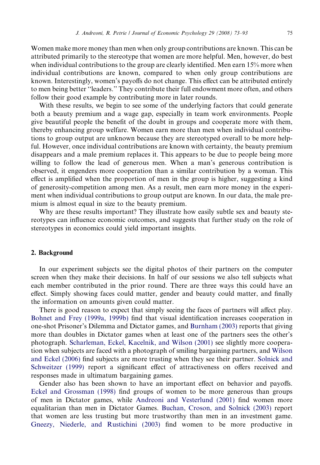Women make more money than men when only group contributions are known. This can be attributed primarily to the stereotype that women are more helpful. Men, however, do best when individual contributions to the group are clearly identified. Men earn 15% more when individual contributions are known, compared to when only group contributions are known. Interestingly, women's payoffs do not change. This effect can be attributed entirely to men being better ''leaders.'' They contribute their full endowment more often, and others follow their good example by contributing more in later rounds.

With these results, we begin to see some of the underlying factors that could generate both a beauty premium and a wage gap, especially in team work environments. People give beautiful people the benefit of the doubt in groups and cooperate more with them, thereby enhancing group welfare. Women earn more than men when individual contributions to group output are unknown because they are stereotyped overall to be more helpful. However, once individual contributions are known with certainty, the beauty premium disappears and a male premium replaces it. This appears to be due to people being more willing to follow the lead of generous men. When a man's generous contribution is observed, it engenders more cooperation than a similar contribution by a woman. This effect is amplified when the proportion of men in the group is higher, suggesting a kind of generosity-competition among men. As a result, men earn more money in the experiment when individual contributions to group output are known. In our data, the male premium is almost equal in size to the beauty premium.

Why are these results important? They illustrate how easily subtle sex and beauty stereotypes can influence economic outcomes, and suggests that further study on the role of stereotypes in economics could yield important insights.

#### 2. Background

In our experiment subjects see the digital photos of their partners on the computer screen when they make their decisions. In half of our sessions we also tell subjects what each member contributed in the prior round. There are three ways this could have an effect. Simply showing faces could matter, gender and beauty could matter, and finally the information on amounts given could matter.

There is good reason to expect that simply seeing the faces of partners will affect play. [Bohnet and Frey \(1999a, 1999b\)](#page-19-0) find that visual identification increases cooperation in one-shot Prisoner's Dilemma and Dictator games, and [Burnham \(2003\)](#page-20-0) reports that giving more than doubles in Dictator games when at least one of the partners sees the other's photograph. [Scharleman, Eckel, Kacelnik, and Wilson \(2001\)](#page-20-0) see slightly more cooperation when subjects are faced with a photograph of smiling bargaining partners, and [Wilson](#page-20-0) [and Eckel \(2006\)](#page-20-0) find subjects are more trusting when they see their partner. [Solnick and](#page-20-0) [Schweitzer \(1999\)](#page-20-0) report a significant effect of attractiveness on offers received and responses made in ultimatum bargaining games.

Gender also has been shown to have an important effect on behavior and payoffs. [Eckel and Grossman \(1998\)](#page-20-0) find groups of women to be more generous than groups of men in Dictator games, while [Andreoni and Vesterlund \(2001\)](#page-19-0) find women more equalitarian than men in Dictator Games. [Buchan, Croson, and Solnick \(2003\)](#page-20-0) report that women are less trusting but more trustworthy than men in an investment game. [Gneezy, Niederle, and Rustichini \(2003\)](#page-20-0) find women to be more productive in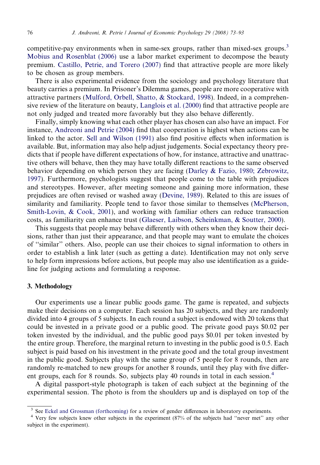competitive-pay environments when in same-sex groups, rather than mixed-sex groups.<sup>3</sup> [Mobius and Rosenblat \(2006\)](#page-20-0) use a labor market experiment to decompose the beauty premium. [Castillo, Petrie, and Torero \(2007\)](#page-20-0) find that attractive people are more likely to be chosen as group members.

There is also experimental evidence from the sociology and psychology literature that beauty carries a premium. In Prisoner's Dilemma games, people are more cooperative with attractive partners ([Mulford, Orbell, Shatto, & Stockard, 1998](#page-20-0)). Indeed, in a comprehensive review of the literature on beauty, [Langlois et al. \(2000\)](#page-20-0) find that attractive people are not only judged and treated more favorably but they also behave differently.

Finally, simply knowing what each other player has chosen can also have an impact. For instance, [Andreoni and Petrie \(2004\)](#page-19-0) find that cooperation is highest when actions can be linked to the actor. [Sell and Wilson \(1991\)](#page-20-0) also find positive effects when information is available. But, information may also help adjust judgements. Social expectancy theory predicts that if people have different expectations of how, for instance, attractive and unattractive others will behave, then they may have totally different reactions to the same observed behavior depending on which person they are facing [\(Darley & Fazio, 1980; Zebrowitz,](#page-20-0) [1997\)](#page-20-0). Furthermore, psychologists suggest that people come to the table with prejudices and stereotypes. However, after meeting someone and gaining more information, these prejudices are often revised or washed away ([Devine, 1989\)](#page-20-0). Related to this are issues of similarity and familiarity. People tend to favor those similar to themselves ([McPherson,](#page-20-0) [Smith-Lovin, & Cook, 2001\)](#page-20-0), and working with familiar others can reduce transaction costs, as familiarity can enhance trust [\(Glaeser, Laibson, Scheinkman, & Soutter, 2000](#page-20-0)).

This suggests that people may behave differently with others when they know their decisions, rather than just their appearance, and that people may want to emulate the choices of ''similar'' others. Also, people can use their choices to signal information to others in order to establish a link later (such as getting a date). Identification may not only serve to help form impressions before actions, but people may also use identification as a guideline for judging actions and formulating a response.

## 3. Methodology

Our experiments use a linear public goods game. The game is repeated, and subjects make their decisions on a computer. Each session has 20 subjects, and they are randomly divided into 4 groups of 5 subjects. In each round a subject is endowed with 20 tokens that could be invested in a private good or a public good. The private good pays \$0.02 per token invested by the individual, and the public good pays \$0.01 per token invested by the entire group. Therefore, the marginal return to investing in the public good is 0.5. Each subject is paid based on his investment in the private good and the total group investment in the public good. Subjects play with the same group of 5 people for 8 rounds, then are randomly re-matched to new groups for another 8 rounds, until they play with five different groups, each for 8 rounds. So, subjects play 40 rounds in total in each session.<sup>4</sup>

A digital passport-style photograph is taken of each subject at the beginning of the experimental session. The photo is from the shoulders up and is displayed on top of the

<sup>&</sup>lt;sup>3</sup> See [Eckel and Grossman \(forthcoming\)](#page-20-0) for a review of gender differences in laboratory experiments. <sup>4</sup> Very few subjects knew other subjects in the experiment (87% of the subjects had "never met" any other subject in the experiment).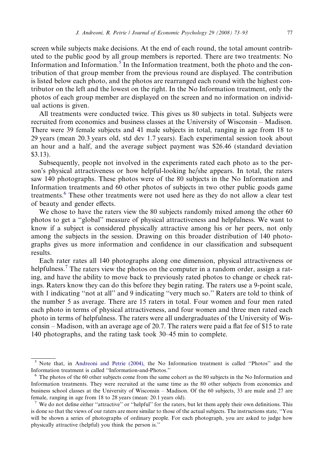screen while subjects make decisions. At the end of each round, the total amount contributed to the public good by all group members is reported. There are two treatments: No Information and Information.<sup>5</sup> In the Information treatment, both the photo and the contribution of that group member from the previous round are displayed. The contribution is listed below each photo, and the photos are rearranged each round with the highest contributor on the left and the lowest on the right. In the No Information treatment, only the photos of each group member are displayed on the screen and no information on individual actions is given.

All treatments were conducted twice. This gives us 80 subjects in total. Subjects were recruited from economics and business classes at the University of Wisconsin – Madison. There were 39 female subjects and 41 male subjects in total, ranging in age from 18 to 29 years (mean 20.3 years old, std dev 1.7 years). Each experimental session took about an hour and a half, and the average subject payment was \$26.46 (standard deviation \$3.13).

Subsequently, people not involved in the experiments rated each photo as to the person's physical attractiveness or how helpful-looking he/she appears. In total, the raters saw 140 photographs. These photos were of the 80 subjects in the No Information and Information treatments and 60 other photos of subjects in two other public goods game treatments.<sup>6</sup> These other treatments were not used here as they do not allow a clear test of beauty and gender effects.

We chose to have the raters view the 80 subjects randomly mixed among the other 60 photos to get a ''global'' measure of physical attractiveness and helpfulness. We want to know if a subject is considered physically attractive among his or her peers, not only among the subjects in the session. Drawing on this broader distribution of 140 photographs gives us more information and confidence in our classification and subsequent results.

Each rater rates all 140 photographs along one dimension, physical attractiveness or helpfulness.<sup>7</sup> The raters view the photos on the computer in a random order, assign a rating, and have the ability to move back to previously rated photos to change or check ratings. Raters know they can do this before they begin rating. The raters use a 9-point scale, with 1 indicating "not at all" and 9 indicating "very much so." Raters are told to think of the number 5 as average. There are 15 raters in total. Four women and four men rated each photo in terms of physical attractiveness, and four women and three men rated each photo in terms of helpfulness. The raters were all undergraduates of the University of Wisconsin – Madison, with an average age of 20.7. The raters were paid a flat fee of \$15 to rate 140 photographs, and the rating task took 30–45 min to complete.

<sup>5</sup> Note that, in [Andreoni and Petrie \(2004\)](#page-19-0), the No Information treatment is called ''Photos'' and the Information treatment is called ''Information-and-Photos.''

<sup>6</sup> The photos of the 60 other subjects come from the same cohort as the 80 subjects in the No Information and Information treatments. They were recruited at the same time as the 80 other subjects from economics and business school classes at the University of Wisconsin – Madison. Of the 60 subjects, 33 are male and 27 are female, ranging in age from 18 to 28 years (mean: 20.1 years old).

<sup>&</sup>lt;sup>7</sup> We do not define either "attractive" or "helpful" for the raters, but let them apply their own definitions. This is done so that the views of our raters are more similar to those of the actual subjects. The instructions state, ''You will be shown a series of photographs of ordinary people. For each photograph, you are asked to judge how physically attractive (helpful) you think the person is.''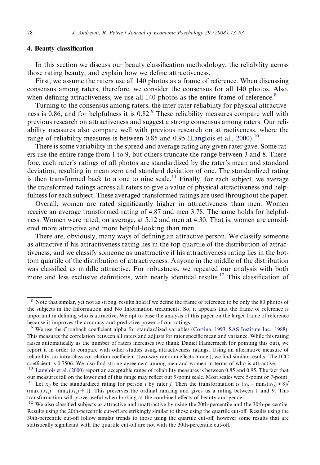#### 4. Beauty classification

In this section we discuss our beauty classification methodology, the reliability across those rating beauty, and explain how we define attractiveness.

First, we assume the raters use all 140 photos as a frame of reference. When discussing consensus among raters, therefore, we consider the consensus for all 140 photos. Also, when defining attractiveness, we use all  $140$  photos as the entire frame of reference.<sup>8</sup>

Turning to the consensus among raters, the inter-rater reliability for physical attractiveness is 0.86, and for helpfulness it is  $0.82<sup>9</sup>$  These reliability measures compare well with previous research on attractiveness and suggest a strong consensus among raters. Our reliability measures also compare well with previous research on attractiveness, where the range of reliability measures is between 0.85 and 0.95 ([Langlois et al., 2000](#page-20-0)).<sup>10</sup>

There is some variability in the spread and average rating any given rater gave. Some raters use the entire range from 1 to 9, but others truncate the range between 3 and 8. Therefore, each rater's ratings of all photos are standardized by the rater's mean and standard deviation, resulting in mean zero and standard deviation of one. The standardized rating is then transformed back to a one to nine scale.<sup>11</sup> Finally, for each subject, we average the transformed ratings across all raters to give a value of physical attractiveness and helpfulness for each subject. These averaged transformed ratings are used throughout the paper.

Overall, women are rated significantly higher in attractiveness than men. Women receive an average transformed rating of 4.87 and men 3.78. The same holds for helpfulness. Women were rated, on average, at 5.12 and men at 4.30. That is, women are considered more attractive and more helpful-looking than men.

There are, obviously, many ways of defining an attractive person. We classify someone as attractive if his attractiveness rating lies in the top quartile of the distribution of attractiveness, and we classify someone as unattractive if his attractiveness rating lies in the bottom quartile of the distribution of attractiveness. Anyone in the middle of the distribution was classified as middle attractive. For robustness, we repeated our analysis with both more and less exclusive definitions, with nearly identical results.<sup>12</sup> This classification of

<sup>8</sup> Note that similar, yet not as strong, results hold if we define the frame of reference to be only the 80 photos of the subjects in the Information and No Information treatments. So, it appears that the frame of reference is important in defining who is attractive. We opt to base the analysis of this paper on the larger frame of reference because it improves the accuracy and predictive power of our ratings.

<sup>&</sup>lt;sup>9</sup> We use the Cronbach coefficient alpha for standardized variables ([Cortina, 1993; SAS Institute Inc., 1988\)](#page-20-0). This measures the correlation between all raters and adjusts for rater specific mean and variance. While this rating raises automatically as the number of raters increases (we thank Daniel Hamermesh for pointing this out), we report it in order to compare with other studies using attractiveness ratings. Using an alternative measure of reliability, an intra-class correlation coefficient (two-way random effects model), we find similar results. The ICC coefficient is 0.7506. We also find strong agreement among men and women in terms of who is attractive.

 $10$  [Langlois et al. \(2000\)](#page-20-0) report an acceptable range of reliability measures is between 0.85 and 0.95. The fact that our measures fall on the lower end of this range may reflect our 9-point scale. Most scales were 5-point or 7-point. <sup>11</sup> Let  $x_{ij}$  be the standardized rating for person *i* by rater *j*. Then the transformation is  $(x_{ij} - \min_k(x_{kj}) * 8)$ /  $(\max_{x}(x_{kj}) - \min_{k}(x_{kj}) + 1)$ . This preserves the ordinal ranking and gives us a rating between 1 and 9. This transformation will prove useful when looking at the combined effects of beauty and gender.

<sup>&</sup>lt;sup>12</sup> We also classified subjects as attractive and unattractive by using the 20th-percentile and the 30th-percentile. Results using the 20th-percentile cut-off are strikingly similar to those using the quartile cut-off. Results using the 30th-percentile cut-off follow similar trends to those using the quartile cut-off, however some results that are statistically significant with the quartile cut-off are not with the 30th-percentile cut-off.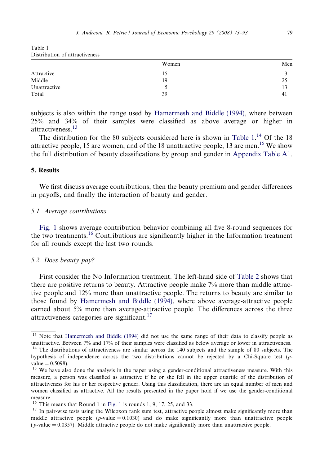|              | Women | Men |
|--------------|-------|-----|
| Attractive   | 15    |     |
| Middle       | 19    | 25  |
| Unattractive |       | 13  |
| Total        | 39    | 41  |

<span id="page-6-0"></span>Table 1 Distribution of attractiveness

subjects is also within the range used by [Hamermesh and Biddle \(1994\),](#page-20-0) where between 25% and 34% of their samples were classified as above average or higher in attractiveness<sup>13</sup>

The distribution for the 80 subjects considered here is shown in Table  $1.^{14}$  Of the 18 attractive people, 15 are women, and of the 18 unattractive people, 13 are men.<sup>15</sup> We show the full distribution of beauty classifications by group and gender in [Appendix Table A1](#page-18-0).

### 5. Results

We first discuss average contributions, then the beauty premium and gender differences in payoffs, and finally the interaction of beauty and gender.

## 5.1. Average contributions

[Fig. 1](#page-7-0) shows average contribution behavior combining all five 8-round sequences for the two treatments.<sup>16</sup> Contributions are significantly higher in the Information treatment for all rounds except the last two rounds.

### 5.2. Does beauty pay?

First consider the No Information treatment. The left-hand side of [Table 2](#page-7-0) shows that there are positive returns to beauty. Attractive people make 7% more than middle attractive people and 12% more than unattractive people. The returns to beauty are similar to those found by [Hamermesh and Biddle \(1994\)](#page-20-0), where above average-attractive people earned about 5% more than average-attractive people. The differences across the three attractiveness categories are significant.<sup>17</sup>

<sup>&</sup>lt;sup>13</sup> Note that [Hamermesh and Biddle \(1994\)](#page-20-0) did not use the same range of their data to classify people as unattractive. Between 7% and 17% of their samples were classified as below average or lower in attractiveness. <sup>14</sup> The distributions of attractiveness are similar across the 140 subjects and the sample of 80 subjects. The hypothesis of independence across the two distributions cannot be rejected by a Chi-Square test (p-

 $value = 0.5098$ ).

<sup>&</sup>lt;sup>15</sup> We have also done the analysis in the paper using a gender-conditional attractiveness measure. With this measure, a person was classified as attractive if he or she fell in the upper quartile of the distribution of attractiveness for his or her respective gender. Using this classification, there are an equal number of men and women classified as attractive. All the results presented in the paper hold if we use the gender-conditional measure.<br><sup>16</sup> This means that Round 1 in Fig. 1 is rounds 1, 9, 17, 25, and 33.

 $17$  In pair-wise tests using the Wilcoxon rank sum test, attractive people almost make significantly more than middle attractive people  $(p$ -value  $= 0.1030)$  and do make significantly more than unattractive people ( $p$ -value  $= 0.0357$ ). Middle attractive people do not make significantly more than unattractive people.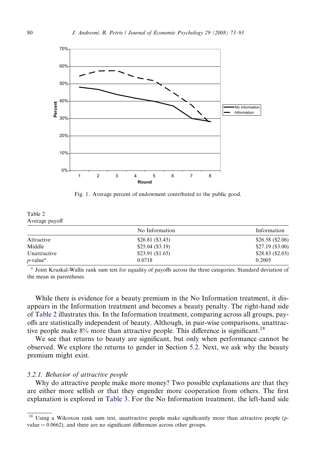<span id="page-7-0"></span>

Fig. 1. Average percent of endowment contributed to the public good.

Table 2 Average payoff

|                              | No Information | Information       |
|------------------------------|----------------|-------------------|
| Attractive                   | \$26.81(S3.43) | \$26.58(S2.06)    |
| Middle                       | \$25.04(S3.19) | $$27.19($ \$3.00) |
| Unattractive                 | \$23.91(S1.65) | $$28.83$ (\$2.03) |
| <i>p</i> -value <sup>a</sup> | 0.0718         | 0.2005            |

<sup>a</sup> Joint Kruskal-Wallis rank sum test for equality of payoffs across the three categories. Standard deviation of the mean in parentheses.

While there is evidence for a beauty premium in the No Information treatment, it disappears in the Information treatment and becomes a beauty penalty. The right-hand side of Table 2 illustrates this. In the Information treatment, comparing across all groups, payoffs are statistically independent of beauty. Although, in pair-wise comparisons, unattractive people make  $8\%$  more than attractive people. This difference is significant.<sup>18</sup>

We see that returns to beauty are significant, but only when performance cannot be observed. We explore the returns to gender in Section [5.2.](#page-6-0) Next, we ask why the beauty premium might exist.

#### 5.2.1. Behavior of attractive people

Why do attractive people make more money? Two possible explanations are that they are either more selfish or that they engender more cooperation from others. The first explanation is explored in [Table 3.](#page-8-0) For the No Information treatment, the left-hand side

<sup>&</sup>lt;sup>18</sup> Using a Wilcoxon rank sum test, unattractive people make significantly more than attractive people (pvalue  $= 0.0662$ ), and there are no significant differences across other groups.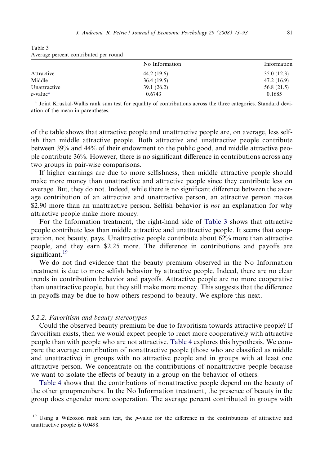|                         | No Information | Information |
|-------------------------|----------------|-------------|
| Attractive              | 44.2 (19.6)    | 35.0(12.3)  |
| Middle                  | 36.4(19.5)     | 47.2(16.9)  |
| Unattractive            | 39.1 (26.2)    | 56.8 (21.5) |
| $p$ -value <sup>a</sup> | 0.6743         | 0.1685      |

<span id="page-8-0"></span>Table 3 Average percent contributed per round

<sup>a</sup> Joint Kruskal-Wallis rank sum test for equality of contributions across the three categories. Standard deviation of the mean in parentheses.

of the table shows that attractive people and unattractive people are, on average, less selfish than middle attractive people. Both attractive and unattractive people contribute between 39% and 44% of their endowment to the public good, and middle attractive people contribute 36%. However, there is no significant difference in contributions across any two groups in pair-wise comparisons.

If higher earnings are due to more selfishness, then middle attractive people should make more money than unattractive and attractive people since they contribute less on average. But, they do not. Indeed, while there is no significant difference between the average contribution of an attractive and unattractive person, an attractive person makes \$2.90 more than an unattractive person. Selfish behavior is *not* an explanation for why attractive people make more money.

For the Information treatment, the right-hand side of Table 3 shows that attractive people contribute less than middle attractive and unattractive people. It seems that cooperation, not beauty, pays. Unattractive people contribute about 62% more than attractive people, and they earn \$2.25 more. The difference in contributions and payoffs are significant.<sup>19</sup>

We do not find evidence that the beauty premium observed in the No Information treatment is due to more selfish behavior by attractive people. Indeed, there are no clear trends in contribution behavior and payoffs. Attractive people are no more cooperative than unattractive people, but they still make more money. This suggests that the difference in payoffs may be due to how others respond to beauty. We explore this next.

#### 5.2.2. Favoritism and beauty stereotypes

Could the observed beauty premium be due to favoritism towards attractive people? If favoritism exists, then we would expect people to react more cooperatively with attractive people than with people who are not attractive. [Table 4](#page-9-0) explores this hypothesis. We compare the average contribution of nonattractive people (those who are classified as middle and unattractive) in groups with no attractive people and in groups with at least one attractive person. We concentrate on the contributions of nonattractive people because we want to isolate the effects of beauty in a group on the behavior of others.

[Table 4](#page-9-0) shows that the contributions of nonattractive people depend on the beauty of the other groupmembers. In the No Information treatment, the presence of beauty in the group does engender more cooperation. The average percent contributed in groups with

<sup>&</sup>lt;sup>19</sup> Using a Wilcoxon rank sum test, the p-value for the difference in the contributions of attractive and unattractive people is 0.0498.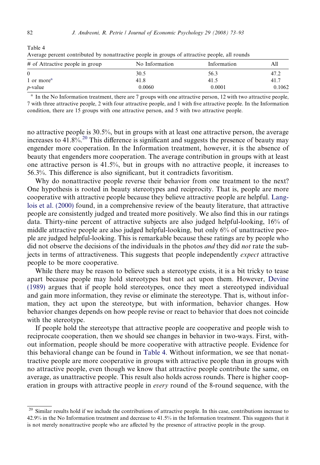| <u>Transporterne communication of nomination is propre in groups of annuously people, an found</u> |                |             |        |  |
|----------------------------------------------------------------------------------------------------|----------------|-------------|--------|--|
| # of Attractive people in group                                                                    | No Information | Information |        |  |
|                                                                                                    | 30.5           | 56.3        | 47.2   |  |
| 1 or more <sup>a</sup>                                                                             | 41.8           | 41.5        | 41.7   |  |
| <i>p</i> -value                                                                                    | 0.0060         | 0.0001      | ).1062 |  |

Average percent contributed by nonattractive people in groups of attractive people, all rounds

<sup>a</sup> In the No Information treatment, there are 7 groups with one attractive person, 12 with two attractive people, 7 with three attractive people, 2 with four attractive people, and 1 with five attractive people. In the Information condition, there are 15 groups with one attractive person, and 5 with two attractive people.

no attractive people is 30.5%, but in groups with at least one attractive person, the average increases to  $41.8\%$ <sup>20</sup> This difference is significant and suggests the presence of beauty may engender more cooperation. In the Information treatment, however, it is the absence of beauty that engenders more cooperation. The average contribution in groups with at least one attractive person is 41.5%, but in groups with no attractive people, it increases to 56.3%. This difference is also significant, but it contradicts favoritism.

Why do nonattractive people reverse their behavior from one treatment to the next? One hypothesis is rooted in beauty stereotypes and reciprocity. That is, people are more cooperative with attractive people because they believe attractive people are helpful. [Lang](#page-20-0)[lois et al. \(2000\)](#page-20-0) found, in a comprehensive review of the beauty literature, that attractive people are consistently judged and treated more positively. We also find this in our ratings data. Thirty-nine percent of attractive subjects are also judged helpful-looking, 16% of middle attractive people are also judged helpful-looking, but only 6% of unattractive people are judged helpful-looking. This is remarkable because these ratings are by people who did not observe the decisions of the individuals in the photos *and* they did *not* rate the subjects in terms of attractiveness. This suggests that people independently expect attractive people to be more cooperative.

While there may be reason to believe such a stereotype exists, it is a bit tricky to tease apart because people may hold stereotypes but not act upon them. However, [Devine](#page-20-0) [\(1989\)](#page-20-0) argues that if people hold stereotypes, once they meet a stereotyped individual and gain more information, they revise or eliminate the stereotype. That is, without information, they act upon the stereotype, but with information, behavior changes. How behavior changes depends on how people revise or react to behavior that does not coincide with the stereotype.

If people hold the stereotype that attractive people are cooperative and people wish to reciprocate cooperation, then we should see changes in behavior in two-ways. First, without information, people should be more cooperative with attractive people. Evidence for this behavioral change can be found in Table 4. Without information, we see that nonattractive people are more cooperative in groups with attractive people than in groups with no attractive people, even though we know that attractive people contribute the same, on average, as unattractive people. This result also holds across rounds. There is higher cooperation in groups with attractive people in *every* round of the 8-round sequence, with the

<span id="page-9-0"></span>Table 4

<sup>&</sup>lt;sup>20</sup> Similar results hold if we include the contributions of attractive people. In this case, contributions increase to 42.9% in the No Information treatment and decrease to 41.5% in the Information treatment. This suggests that it is not merely nonattractive people who are affected by the presence of attractive people in the group.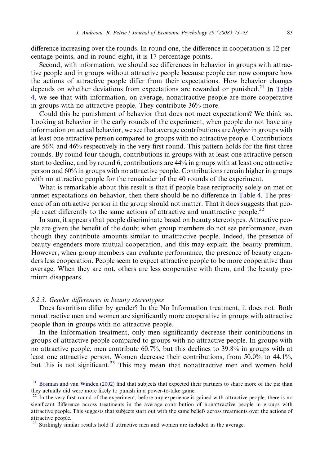difference increasing over the rounds. In round one, the difference in cooperation is 12 percentage points, and in round eight, it is 17 percentage points.

Second, with information, we should see differences in behavior in groups with attractive people and in groups without attractive people because people can now compare how the actions of attractive people differ from their expectations. How behavior changes depends on whether deviations from expectations are rewarded or punished.<sup>21</sup> In [Table](#page-9-0) [4](#page-9-0), we see that with information, on average, nonattractive people are more cooperative in groups with no attractive people. They contribute 36% more.

Could this be punishment of behavior that does not meet expectations? We think so. Looking at behavior in the early rounds of the experiment, when people do not have any information on actual behavior, we see that average contributions are higher in groups with at least one attractive person compared to groups with no attractive people. Contributions are 56% and 46% respectively in the very first round. This pattern holds for the first three rounds. By round four though, contributions in groups with at least one attractive person start to decline, and by round 6, contributions are 44% in groups with at least one attractive person and 60% in groups with no attractive people. Contributions remain higher in groups with no attractive people for the remainder of the 40 rounds of the experiment.

What is remarkable about this result is that if people base reciprocity solely on met or unmet expectations on behavior, then there should be no difference in [Table 4](#page-9-0). The presence of an attractive person in the group should not matter. That it does suggests that people react differently to the same actions of attractive and unattractive people.<sup>22</sup>

In sum, it appears that people discriminate based on beauty stereotypes. Attractive people are given the benefit of the doubt when group members do not see performance, even though they contribute amounts similar to unattractive people. Indeed, the presence of beauty engenders more mutual cooperation, and this may explain the beauty premium. However, when group members can evaluate performance, the presence of beauty engenders less cooperation. People seem to expect attractive people to be more cooperative than average. When they are not, others are less cooperative with them, and the beauty premium disappears.

## 5.2.3. Gender differences in beauty stereotypes

Does favoritism differ by gender? In the No Information treatment, it does not. Both nonattractive men and women are significantly more cooperative in groups with attractive people than in groups with no attractive people.

In the Information treatment, only men significantly decrease their contributions in groups of attractive people compared to groups with no attractive people. In groups with no attractive people, men contribute 60.7%, but this declines to 39.8% in groups with at least one attractive person. Women decrease their contributions, from 50.0% to 44.1%, but this is not significant.<sup>23</sup> This may mean that nonattractive men and women hold

<sup>&</sup>lt;sup>21</sup> [Bosman and van Winden \(2002\)](#page-19-0) find that subjects that expected their partners to share more of the pie than they actually did were more likely to punish in a power-to-take game.

 $22$  In the very first round of the experiment, before any experience is gained with attractive people, there is no significant difference across treatments in the average contribution of nonattractive people in groups with attractive people. This suggests that subjects start out with the same beliefs across treatments over the actions of attractive people.

<sup>&</sup>lt;sup>23</sup> Strikingly similar results hold if attractive men and women are included in the average.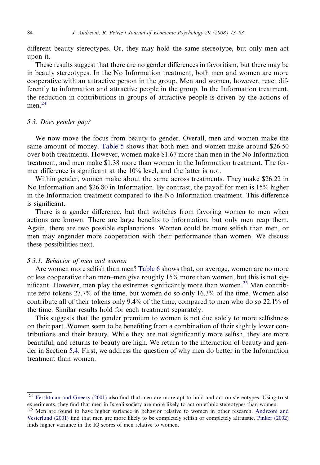different beauty stereotypes. Or, they may hold the same stereotype, but only men act upon it.

These results suggest that there are no gender differences in favoritism, but there may be in beauty stereotypes. In the No Information treatment, both men and women are more cooperative with an attractive person in the group. Men and women, however, react differently to information and attractive people in the group. In the Information treatment, the reduction in contributions in groups of attractive people is driven by the actions of men $^{24}$ 

#### 5.3. Does gender pay?

We now move the focus from beauty to gender. Overall, men and women make the same amount of money. [Table 5](#page-12-0) shows that both men and women make around \$26.50 over both treatments. However, women make \$1.67 more than men in the No Information treatment, and men make \$1.38 more than women in the Information treatment. The former difference is significant at the 10% level, and the latter is not.

Within gender, women make about the same across treatments. They make \$26.22 in No Information and \$26.80 in Information. By contrast, the payoff for men is 15% higher in the Information treatment compared to the No Information treatment. This difference is significant.

There is a gender difference, but that switches from favoring women to men when actions are known. There are large benefits to information, but only men reap them. Again, there are two possible explanations. Women could be more selfish than men, or men may engender more cooperation with their performance than women. We discuss these possibilities next.

# 5.3.1. Behavior of men and women

Are women more selfish than men? [Table 6](#page-12-0) shows that, on average, women are no more or less cooperative than men–men give roughly 15% more than women, but this is not significant. However, men play the extremes significantly more than women.<sup>25</sup> Men contribute zero tokens 27.7% of the time, but women do so only 16.3% of the time. Women also contribute all of their tokens only 9.4% of the time, compared to men who do so 22.1% of the time. Similar results hold for each treatment separately.

This suggests that the gender premium to women is not due solely to more selfishness on their part. Women seem to be benefiting from a combination of their slightly lower contributions and their beauty. While they are not significantly more selfish, they are more beautiful, and returns to beauty are high. We return to the interaction of beauty and gender in Section [5.4.](#page-14-0) First, we address the question of why men do better in the Information treatment than women.

<sup>&</sup>lt;sup>24</sup> [Fershtman and Gneezy \(2001\)](#page-20-0) also find that men are more apt to hold and act on stereotypes. Using trust experiments, they find that men in Isreali society are more likely to act on ethnic stereotypes than women.

 $25$  Men are found to have higher variance in behavior relative to women in other research. [Andreoni and](#page-19-0) [Vesterlund \(2001\)](#page-19-0) find that men are more likely to be completely selfish or completely altruistic. [Pinker \(2002\)](#page-20-0) finds higher variance in the IQ scores of men relative to women.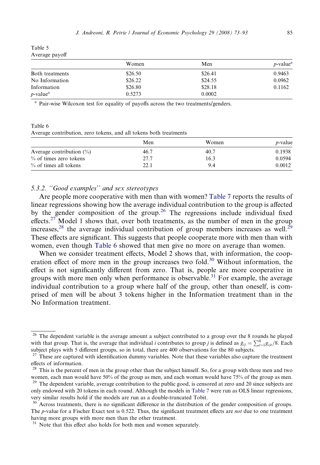Information 6.1162 \$26.80 \$26.80 \$28.18 \$28.18 0.1162

| 100100<br>Average payoff |              |         |                |
|--------------------------|--------------|---------|----------------|
|                          | <b>Women</b> | Men     | <i>p</i> -valu |
| Both treatments          | \$26.50      | \$26.41 | 0.9463         |
| No Information           | \$26.22      | \$24.55 | 0.0962         |
| Information              | \$26.80      | \$28.18 | 0.1162         |

<span id="page-12-0"></span>Table 5

Pair-wise Wilcoxon test for equality of payoffs across the two treatments/genders.

 $p$ -value<sup>a</sup> 0.5273 0.0002

Table 6 Average contribution, zero tokens, and all tokens both treatments

|                             | Men  | Women | <i>p</i> -value |
|-----------------------------|------|-------|-----------------|
| Average contribution $(\%)$ | 46.7 | 40.7  | 0.1938          |
| $%$ of times zero tokens    | 27.7 | 16.3  | 0.0594          |
| % of times all tokens       | 22 I | 9.4   | 0.0012          |

# 5.3.2. ''Good examples'' and sex stereotypes

Are people more cooperative with men than with women? [Table 7](#page-13-0) reports the results of linear regressions showing how the average individual contribution to the group is affected by the gender composition of the group.<sup>26</sup> The regressions include individual fixed effects.<sup>27</sup> Model 1 shows that, over both treatments, as the number of men in the group increases,<sup>28</sup> the average individual contribution of group members increases as well.<sup>29</sup> These effects are significant. This suggests that people cooperate more with men than with women, even though Table 6 showed that men give no more on average than women.

When we consider treatment effects, Model 2 shows that, with information, the cooperation effect of more men in the group increases two fold.<sup>30</sup> Without information, the effect is not significantly different from zero. That is, people are more cooperative in groups with more men only when performance is observable.<sup>31</sup> For example, the average individual contribution to a group where half of the group, other than oneself, is comprised of men will be about 3 tokens higher in the Information treatment than in the No Information treatment.

 $p$ -value<sup>a</sup>

<sup>&</sup>lt;sup>26</sup> The dependent variable is the average amount a subject contributed to a group over the 8 rounds he played with that group. That is, the average that individual *i* contributes to group *j* is defined as  $\bar{g}_{ij} = \sum_{t=1}^{8} g_{ijt}/8$ . Each subject plays with 5 different groups, so in total, there are 400 observations for the 80 subjects.

<sup>&</sup>lt;sup>27</sup> These are captured with identification dummy variables. Note that these variables also capture the treatment effects of information.

<sup>&</sup>lt;sup>28</sup> This is the percent of men in the group other than the subject himself. So, for a group with three men and two women, each man would have 50% of the group as men, and each woman would have 75% of the group as men.  $29$  The dependent variable, average contribution to the public good, is censored at zero and 20 since subjects are only endowed with 20 tokens in each round. Although the models in [Table 7](#page-13-0) were run as OLS linear regressions, very similar results hold if the models are run as a double-truncated Tobit.

<sup>&</sup>lt;sup>30</sup> Across treatments, there is no significant difference in the distribution of the gender composition of groups. The *p*-value for a Fischer Exact test is 0.522. Thus, the significant treatment effects are *not* due to one treatment having more groups with more men than the other treatment.

<sup>&</sup>lt;sup>31</sup> Note that this effect also holds for both men and women separately.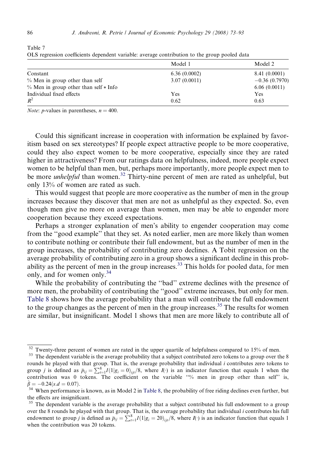|                                           | Model 1      | Model 2         |
|-------------------------------------------|--------------|-----------------|
| Constant                                  | 6.36(0.0002) | 8.41 (0.0001)   |
| % Men in group other than self            | 3.07(0.0011) | $-0.36(0.7970)$ |
| $%$ Men in group other than self $*$ Info |              | 6.06(0.0011)    |
| Individual fixed effects                  | Yes          | Yes             |
| $R^2$                                     | 0.62         | 0.63            |
|                                           |              |                 |

<span id="page-13-0"></span>Table 7 OLS regression coefficients dependent variable: average contribution to the group pooled data

*Note: p*-values in parentheses,  $n = 400$ .

Could this significant increase in cooperation with information be explained by favoritism based on sex stereotypes? If people expect attractive people to be more cooperative, could they also expect women to be more cooperative, especially since they are rated higher in attractiveness? From our ratings data on helpfulness, indeed, more people expect women to be helpful than men, but, perhaps more importantly, more people expect men to be more *unhelpful* than women.<sup>32</sup> Thirty-nine percent of men are rated as unhelpful, but only 13% of women are rated as such.

This would suggest that people are more cooperative as the number of men in the group increases because they discover that men are not as unhelpful as they expected. So, even though men give no more on average than women, men may be able to engender more cooperation because they exceed expectations.

Perhaps a stronger explanation of men's ability to engender cooperation may come from the ''good example'' that they set. As noted earlier, men are more likely than women to contribute nothing or contribute their full endowment, but as the number of men in the group increases, the probability of contributing zero declines. A Tobit regression on the average probability of contributing zero in a group shows a significant decline in this probability as the percent of men in the group increases.<sup>33</sup> This holds for pooled data, for men only, and for women only. $34$ 

While the probability of contributing the ''bad'' extreme declines with the presence of more men, the probability of contributing the ''good'' extreme increases, but only for men. [Table 8](#page-14-0) shows how the average probability that a man will contribute the full endowment to the group changes as the percent of men in the group increases.<sup>35</sup> The results for women are similar, but insignificant. Model 1 shows that men are more likely to contribute all of

<sup>&</sup>lt;sup>32</sup> Twenty-three percent of women are rated in the upper quartile of helpfulness compared to 15% of men.<br><sup>33</sup> The dependent variable is the average probability that a subject contributed zero tokens to a group over the 8 rounds he played with that group. That is, the average probability that individual *i* contributes zero tokens to group *j* is defined as  $\bar{p}_{ij} = \sum_{t=1}^{8} I(1|g_i = 0)_{ij}/8$ , where  $I(\cdot)$  is an indicator function that equals 1 when the contribution was 0 tokens. The coefficient on the variable ''% men in group other than self'' is,  $\hat{\beta} = -$ 

<sup>&</sup>lt;sup>34</sup> When performance is known, as in Model 2 in [Table 8,](#page-14-0) the probability of free riding declines even further, but the effects are insignificant.

<sup>&</sup>lt;sup>35</sup> The dependent variable is the average probability that a subject contributed his full endowment to a group over the 8 rounds he played with that group. That is, the average probability that individual i contributes his full endowment to group j is defined as  $\bar{p}_{ij} = \sum_{i=1}^{8} I(1|g_i = 20)_{ij}/8$ , where  $I(\cdot)$  is an indicator function that equals 1 when the contribution was 20 tokens.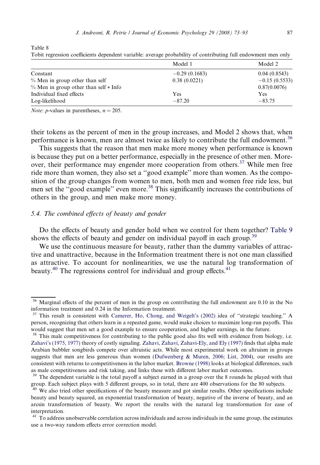|                                           | Model 1         | Model 2         |
|-------------------------------------------|-----------------|-----------------|
| Constant                                  | $-0.29(0.1683)$ | 0.04(0.8543)    |
| % Men in group other than self            | 0.38(0.0221)    | $-0.15(0.5533)$ |
| $%$ Men in group other than self $*$ Info |                 | 0.87(0.0076)    |
| Individual fixed effects                  | Yes             | Yes             |
| Log-likelihood                            | $-87.20$        | $-83.75$        |

<span id="page-14-0"></span>Table 8 Tobit regression coefficients dependent variable: average probability of contributing full endowment men only

*Note: p*-values in parentheses,  $n = 205$ .

their tokens as the percent of men in the group increases, and Model 2 shows that, when performance is known, men are almost twice as likely to contribute the full endowment.<sup>36</sup>

This suggests that the reason that men make more money when performance is known is because they put on a better performance, especially in the presence of other men. Moreover, their performance may engender more cooperation from others.<sup>37</sup> While men free ride more than women, they also set a ''good example'' more than women. As the composition of the group changes from women to men, both men and women free ride less, but men set the "good example" even more.<sup>38</sup> This significantly increases the contributions of others in the group, and men make more money.

# 5.4. The combined effects of beauty and gender

Do the effects of beauty and gender hold when we control for them together? [Table 9](#page-15-0) shows the effects of beauty and gender on individual payoff in each group.<sup>39</sup>

We use the continuous measure for beauty, rather than the dummy variables of attractive and unattractive, because in the Information treatment there is not one man classified as attractive. To account for nonlinearities, we use the natural log transformation of beauty.<sup>40</sup> The regressions control for individual and group effects.<sup>41</sup>

Marginal effects of the percent of men in the group on contributing the full endowment are 0.10 in the No information treatment and 0.24 in the Information treatment.

<sup>&</sup>lt;sup>37</sup> This result is consistent with [Camerer, Ho, Chong, and Weigelt's \(2002\)](#page-20-0) idea of "strategic teaching." A person, recognizing that others learn in a repeated game, would make choices to maximize long-run payoffs. This would suggest that men set a good example to ensure cooperation, and higher earnings, in the future.

<sup>&</sup>lt;sup>38</sup> This male competitiveness for contributing to the public good also fits well with evidence from biology, i.e. [Zahavi's \(1975, 1977\)](#page-20-0) theory of costly signaling. [Zahavi, Zahavi, Zahavi-Ely, and Ely \(1997\)](#page-20-0) finds that alpha male Arabian babbler songbirds compete over altruistic acts. While most experimental work on altruism in groups suggests that men are less generous than women [\(Dufwenberg & Muren, 2006; List, 2004\)](#page-20-0), our results are consistent with returns to competitiveness in the labor market. [Browne \(1998\)](#page-19-0) looks at biological differences, such as male competitiveness and risk taking, and links these with different labor market outcomes.

<sup>&</sup>lt;sup>39</sup> The dependent variable is the total payoff a subject earned in a group over the 8 rounds he played with that group. Each subject plays with 5 different groups, so in total, there are 400 observations for the 80 subjects.

<sup>&</sup>lt;sup>40</sup> We also tried other specifications of the beauty measure and got similar results. Other specifications include beauty and beauty squared, an exponential transformation of beauty, negative of the inverse of beauty, and an arcsin transformation of beauty. We report the results with the natural log transformation for ease of interpretation.

<sup>&</sup>lt;sup>41</sup> To address unobservable correlation across individuals and across individuals in the same group, the estimates use a two-way random effects error correction model.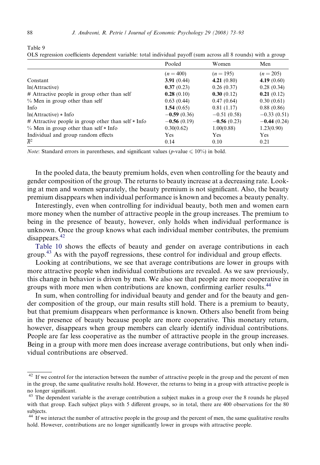|                                                     | Pooled        | Women         | Men           |
|-----------------------------------------------------|---------------|---------------|---------------|
|                                                     | $(n = 400)$   | $(n = 195)$   | $(n = 205)$   |
| Constant                                            | 3.91(0.44)    | 4.21 $(0.80)$ | 4.19 $(0.60)$ |
| ln(Attractive)                                      | 0.37(0.23)    | 0.26(0.37)    | 0.28(0.34)    |
| # Attractive people in group other than self        | 0.28(0.10)    | 0.30(0.12)    | 0.21(0.12)    |
| % Men in group other than self                      | 0.63(0.44)    | 0.47(0.64)    | 0.30(0.61)    |
| Info                                                | 1.54 $(0.65)$ | 0.81(1.17)    | 0.88(0.86)    |
| $ln(A \text{ttractive})$ * Info                     | $-0.59(0.36)$ | $-0.51(0.58)$ | $-0.33(0.51)$ |
| # Attractive people in group other than self * Info | $-0.56(0.19)$ | $-0.56(0.23)$ | $-0.44(0.24)$ |
| $%$ Men in group other than self $*$ Info           | 0.30(0.62)    | 1.00(0.88)    | 1.23(0.90)    |
| Individual and group random effects                 | <b>Yes</b>    | <b>Yes</b>    | Yes           |
| $\overline{R}^2$                                    | 0.14          | 0.10          | 0.21          |

OLS regression coefficients dependent variable: total individual payoff (sum across all 8 rounds) with a group

*Note*: Standard errors in parentheses, and significant values (*p*-value  $\leq 10\%$ ) in bold.

In the pooled data, the beauty premium holds, even when controlling for the beauty and gender composition of the group. The returns to beauty increase at a decreasing rate. Looking at men and women separately, the beauty premium is not significant. Also, the beauty premium disappears when individual performance is known and becomes a beauty penalty.

Interestingly, even when controlling for individual beauty, both men and women earn more money when the number of attractive people in the group increases. The premium to being in the presence of beauty, however, only holds when individual performance is unknown. Once the group knows what each individual member contributes, the premium disappears.<sup>42</sup>

[Table 10](#page-16-0) shows the effects of beauty and gender on average contributions in each group.<sup>43</sup> As with the payoff regressions, these control for individual and group effects.

Looking at contributions, we see that average contributions are lower in groups with more attractive people when individual contributions are revealed. As we saw previously, this change in behavior is driven by men. We also see that people are more cooperative in groups with more men when contributions are known, confirming earlier results.<sup>44</sup>

In sum, when controlling for individual beauty and gender and for the beauty and gender composition of the group, our main results still hold. There is a premium to beauty, but that premium disappears when performance is known. Others also benefit from being in the presence of beauty because people are more cooperative. This monetary return, however, disappears when group members can clearly identify individual contributions. People are far less cooperative as the number of attractive people in the group increases. Being in a group with more men does increase average contributions, but only when individual contributions are observed.

<span id="page-15-0"></span>Table 9

 $\frac{42 \text{ If we control for the interaction between the number of attractive people in the group and the percent of men.}$ in the group, the same qualitative results hold. However, the returns to being in a group with attractive people is no longer significant.

<sup>&</sup>lt;sup>43</sup> The dependent variable is the average contribution a subject makes in a group over the 8 rounds he played with that group. Each subject plays with 5 different groups, so in total, there are 400 observations for the 80 subjects.

<sup>&</sup>lt;sup>44</sup> If we interact the number of attractive people in the group and the percent of men, the same qualitative results hold. However, contributions are no longer significantly lower in groups with attractive people.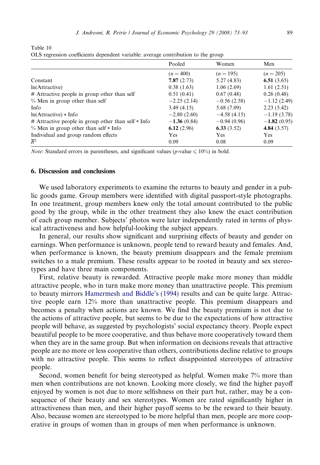|                                                     | Pooled        | Women         | Men           |
|-----------------------------------------------------|---------------|---------------|---------------|
|                                                     | $(n = 400)$   | $(n = 195)$   | $(n = 205)$   |
| Constant                                            | 7.87(2.73)    | 5.27(4.83)    | 6.51 $(3.65)$ |
| $ln(A \text{ttractive})$                            | 0.38(1.63)    | 1.06(2.69)    | 1.61(2.51)    |
| # Attractive people in group other than self        | 0.51(0.41)    | 0.67(0.48)    | 0.26(0.48)    |
| % Men in group other than self                      | $-2.25(2.14)$ | $-0.56(2.58)$ | $-1.12(2.49)$ |
| Info                                                | 3.49(4.15)    | 5.68(7.09)    | 2.23(5.42)    |
| $ln(A \text{ttractive})$ * Info                     | $-2.80(2.60)$ | $-4.58(4.15)$ | $-1.19(3.78)$ |
| # Attractive people in group other than self * Info | $-1.36(0.84)$ | $-0.94(0.96)$ | $-1.82(0.95)$ |
| $%$ Men in group other than self $*$ Info           | 6.12 $(2.96)$ | 6.33(3.52)    | 4.84 $(3.57)$ |
| Individual and group random effects                 | Yes           | Yes           | Yes           |
| $\overline{R}^2$                                    | 0.09          | 0.08          | 0.09          |

<span id="page-16-0"></span>Table 10 OLS regression coefficients dependent variable: average contribution to the group

*Note*: Standard errors in parentheses, and significant values (*p*-value  $\leq 10\%$ ) in bold.

#### 6. Discussion and conclusions

We used laboratory experiments to examine the returns to beauty and gender in a public goods game. Group members were identified with digital passport-style photographs. In one treatment, group members knew only the total amount contributed to the public good by the group, while in the other treatment they also knew the exact contribution of each group member. Subjects' photos were later independently rated in terms of physical attractiveness and how helpful-looking the subject appears.

In general, our results show significant and surprising effects of beauty and gender on earnings. When performance is unknown, people tend to reward beauty and females. And, when performance is known, the beauty premium disappears and the female premium switches to a male premium. These results appear to be rooted in beauty and sex stereotypes and have three main components.

First, relative beauty is rewarded. Attractive people make more money than middle attractive people, who in turn make more money than unattractive people. This premium to beauty mirrors [Hamermesh and Biddle's \(1994\)](#page-20-0) results and can be quite large. Attractive people earn 12% more than unattractive people. This premium disappears and becomes a penalty when actions are known. We find the beauty premium is not due to the actions of attractive people, but seems to be due to the expectations of how attractive people will behave, as suggested by psychologists' social expectancy theory. People expect beautiful people to be more cooperative, and thus behave more cooperatively toward them when they are in the same group. But when information on decisions reveals that attractive people are no more or less cooperative than others, contributions decline relative to groups with no attractive people. This seems to reflect disappointed stereotypes of attractive people.

Second, women benefit for being stereotyped as helpful. Women make 7% more than men when contributions are not known. Looking more closely, we find the higher payoff enjoyed by women is not due to more selfishness on their part but, rather, may be a consequence of their beauty and sex stereotypes. Women are rated significantly higher in attractiveness than men, and their higher payoff seems to be the reward to their beauty. Also, because women are stereotyped to be more helpful than men, people are more cooperative in groups of women than in groups of men when performance is unknown.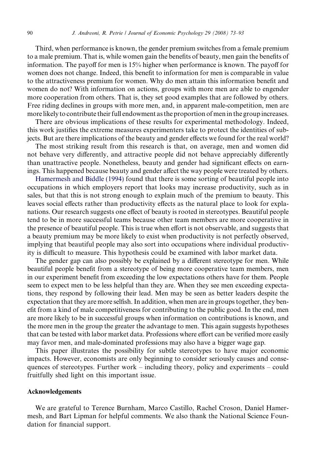Third, when performance is known, the gender premium switches from a female premium to a male premium. That is, while women gain the benefits of beauty, men gain the benefits of information. The payoff for men is 15% higher when performance is known. The payoff for women does not change. Indeed, this benefit to information for men is comparable in value to the attractiveness premium for women. Why do men attain this information benefit and women do not? With information on actions, groups with more men are able to engender more cooperation from others. That is, they set good examples that are followed by others. Free riding declines in groups with more men, and, in apparent male-competition, men are more likely to contribute their full endowment as the proportion of men in the group increases.

There are obvious implications of these results for experimental methodology. Indeed, this work justifies the extreme measures experimenters take to protect the identities of subjects. But are there implications of the beauty and gender effects we found for the real world?

The most striking result from this research is that, on average, men and women did not behave very differently, and attractive people did not behave appreciably differently than unattractive people. Nonetheless, beauty and gender had significant effects on earnings. This happened because beauty and gender affect the way people were treated by others.

[Hamermesh and Biddle \(1994\)](#page-20-0) found that there is some sorting of beautiful people into occupations in which employers report that looks may increase productivity, such as in sales, but that this is not strong enough to explain much of the premium to beauty. This leaves social effects rather than productivity effects as the natural place to look for explanations. Our research suggests one effect of beauty is rooted in stereotypes. Beautiful people tend to be in more successful teams because other team members are more cooperative in the presence of beautiful people. This is true when effort is not observable, and suggests that a beauty premium may be more likely to exist when productivity is not perfectly observed, implying that beautiful people may also sort into occupations where individual productivity is difficult to measure. This hypothesis could be examined with labor market data.

The gender gap can also possibly be explained by a different stereotype for men. While beautiful people benefit from a stereotype of being more cooperative team members, men in our experiment benefit from exceeding the low expectations others have for them. People seem to expect men to be less helpful than they are. When they see men exceeding expectations, they respond by following their lead. Men may be seen as better leaders despite the expectation that they are more selfish. In addition, when men are in groups together, they benefit from a kind of male competitiveness for contributing to the public good. In the end, men are more likely to be in successful groups when information on contributions is known, and the more men in the group the greater the advantage to men. This again suggests hypotheses that can be tested with labor market data. Professions where effort can be verified more easily may favor men, and male-dominated professions may also have a bigger wage gap.

This paper illustrates the possibility for subtle stereotypes to have major economic impacts. However, economists are only beginning to consider seriously causes and consequences of stereotypes. Further work – including theory, policy and experiments – could fruitfully shed light on this important issue.

#### Acknowledgements

We are grateful to Terence Burnham, Marco Castillo, Rachel Croson, Daniel Hamermesh, and Bart Lipman for helpful comments. We also thank the National Science Foundation for financial support.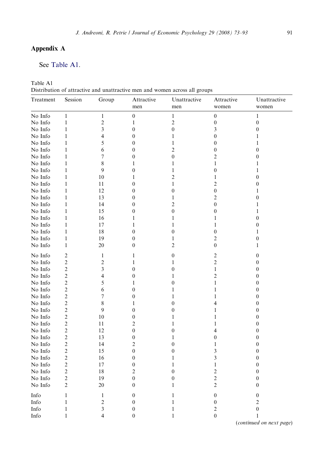# <span id="page-18-0"></span>Appendix A

See Table A1.

Table A1 Distribution of attractive and unattractive men and women across all groups

| Treatment | Session                 | Group          | Attractive       | Unattractive     | Attractive       | Unattractive     |
|-----------|-------------------------|----------------|------------------|------------------|------------------|------------------|
|           |                         |                | men              | men              | women            | women            |
| No Info   | $\mathbf{1}$            | $\mathbf{1}$   | $\boldsymbol{0}$ | $\mathbf{1}$     | $\boldsymbol{0}$ | $\,1$            |
| No Info   | $\mathbf{1}$            | $\overline{c}$ | $\mathbf{1}$     | $\overline{2}$   | $\boldsymbol{0}$ | $\boldsymbol{0}$ |
| No Info   | $\mathbf{1}$            | 3              | $\boldsymbol{0}$ | $\boldsymbol{0}$ | $\mathfrak{Z}$   | $\boldsymbol{0}$ |
| No Info   | $\mathbf{1}$            | 4              | $\boldsymbol{0}$ | $\mathbf{1}$     | $\boldsymbol{0}$ | $\mathbf{1}$     |
| No Info   | $\mathbf{1}$            | 5              | $\boldsymbol{0}$ | $\mathbf{1}$     | $\boldsymbol{0}$ | $\mathbf{1}$     |
| No Info   | 1                       | 6              | $\boldsymbol{0}$ | $\overline{c}$   | $\boldsymbol{0}$ | $\boldsymbol{0}$ |
| No Info   | 1                       | 7              | $\boldsymbol{0}$ | $\boldsymbol{0}$ | 2                | $\boldsymbol{0}$ |
| No Info   | $\mathbf{1}$            | 8              | $\mathbf{1}$     | $\mathbf{1}$     | $\mathbf{1}$     | $\mathbf{1}$     |
| No Info   | $\mathbf{1}$            | 9              | $\boldsymbol{0}$ | $\mathbf{1}$     | $\boldsymbol{0}$ | 1                |
| No Info   | $\mathbf{1}$            | 10             | $\mathbf{1}$     | $\overline{2}$   | 1                | $\boldsymbol{0}$ |
| No Info   | $\mathbf{1}$            | 11             | $\boldsymbol{0}$ | $\mathbf{1}$     | $\overline{c}$   | $\boldsymbol{0}$ |
| No Info   | $\mathbf{1}$            | 12             | $\boldsymbol{0}$ | $\boldsymbol{0}$ | $\boldsymbol{0}$ | $\mathbf{1}$     |
| No Info   | $\mathbf{1}$            | 13             | $\boldsymbol{0}$ | $\mathbf{1}$     | $\overline{2}$   | $\boldsymbol{0}$ |
| No Info   | $\mathbf{1}$            | 14             | $\boldsymbol{0}$ | $\overline{2}$   | $\boldsymbol{0}$ | $\mathbf{1}$     |
| No Info   | $\mathbf{1}$            | 15             | $\overline{0}$   | $\mathbf{0}$     | $\boldsymbol{0}$ | $\mathbf{1}$     |
| No Info   | $\mathbf{1}$            | 16             | $\mathbf{1}$     | 1                | 1                | $\overline{0}$   |
| No Info   | $\mathbf{1}$            | 17             | $\mathbf{1}$     | $\mathbf{1}$     | $\mathbf{1}$     | $\boldsymbol{0}$ |
| No Info   | $\mathbf{1}$            | 18             | $\mathbf{0}$     | $\mathbf{0}$     | $\boldsymbol{0}$ | $\mathbf{1}$     |
| No Info   | 1                       | 19             | $\boldsymbol{0}$ | 1                | 2                | $\boldsymbol{0}$ |
| No Info   | $\mathbf{1}$            | 20             | $\mathbf{0}$     | $\overline{2}$   | $\mathbf{0}$     | $\mathbf{1}$     |
| No Info   | 2                       | $\mathbf{1}$   | 1                | $\boldsymbol{0}$ | 2                | 0                |
| No Info   | $\overline{c}$          | $\overline{2}$ | $\mathbf{1}$     | 1                | $\sqrt{2}$       | $\boldsymbol{0}$ |
| No Info   | 2                       | 3              | $\boldsymbol{0}$ | $\boldsymbol{0}$ | $\mathbf{1}$     | $\boldsymbol{0}$ |
| No Info   | $\overline{c}$          | 4              | $\boldsymbol{0}$ | $\mathbf{1}$     | $\sqrt{2}$       | $\boldsymbol{0}$ |
| No Info   | 2                       | 5              | $\mathbf{1}$     | $\boldsymbol{0}$ | 1                | $\boldsymbol{0}$ |
| No Info   | $\overline{c}$          | 6              | $\overline{0}$   | 1                | $\mathbf{1}$     | $\overline{0}$   |
| No Info   | $\overline{c}$          | $\overline{7}$ | $\mathbf{0}$     | 1                | 1                | $\boldsymbol{0}$ |
| No Info   | 2                       | 8              | $\mathbf{1}$     | $\boldsymbol{0}$ | 4                | $\boldsymbol{0}$ |
| No Info   | $\overline{c}$          | 9              | $\mathbf{0}$     | $\overline{0}$   | 1                | $\overline{0}$   |
| No Info   | 2                       | 10             | $\boldsymbol{0}$ | 1                | $\mathbf{1}$     | $\boldsymbol{0}$ |
| No Info   | $\overline{c}$          | 11             | $\overline{2}$   | 1                | 1                | $\boldsymbol{0}$ |
| No Info   | $\overline{c}$          | 12             | $\boldsymbol{0}$ | $\boldsymbol{0}$ | 4                | $\boldsymbol{0}$ |
| No Info   | 2                       | 13             | $\boldsymbol{0}$ | $\mathbf{1}$     | $\boldsymbol{0}$ | $\boldsymbol{0}$ |
| No Info   | $\overline{c}$          | 14             | $\overline{c}$   | $\mathbf{0}$     | 1                | $\boldsymbol{0}$ |
| No Info   | $\overline{\mathbf{c}}$ | 15             | $\boldsymbol{0}$ | $\boldsymbol{0}$ | 3                | $\boldsymbol{0}$ |
| No Info   | $\overline{c}$          | 16             | $\boldsymbol{0}$ | 1                | 3                | $\overline{0}$   |
| No Info   | 2                       | 17             | $\boldsymbol{0}$ | 1                | $\mathbf{1}$     | $\boldsymbol{0}$ |
| No Info   | $\overline{2}$          | 18             | $\overline{c}$   | $\mathbf{0}$     | $\overline{2}$   | $\overline{0}$   |
| No Info   | 2                       | 19             | $\boldsymbol{0}$ | $\boldsymbol{0}$ | $\overline{2}$   | $\boldsymbol{0}$ |
| No Info   | $\sqrt{2}$              | 20             | $\boldsymbol{0}$ | $\mathbf{1}$     | $\mathfrak{2}$   | $\boldsymbol{0}$ |
| Info      | $\mathbf{1}$            | $\mathbf{1}$   | $\boldsymbol{0}$ | 1                | $\boldsymbol{0}$ | $\boldsymbol{0}$ |
| Info      | $\mathbf{1}$            | $\overline{c}$ | $\boldsymbol{0}$ | $\mathbf{1}$     | $\boldsymbol{0}$ | $\mathfrak{2}$   |
| Info      | $\mathbf{1}$            | 3              | $\boldsymbol{0}$ | 1                | $\mathfrak{2}$   | $\boldsymbol{0}$ |
| Info      | $\mathbf{1}$            | $\overline{4}$ | $\boldsymbol{0}$ | 1                | $\boldsymbol{0}$ | $\mathbf{1}$     |

(continued on next page)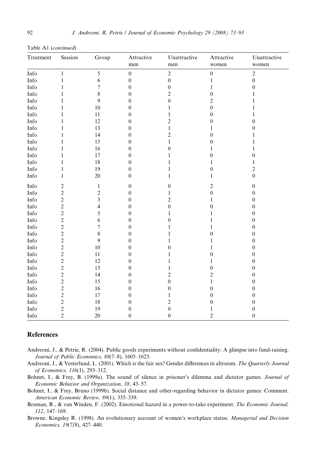<span id="page-19-0"></span>

|  | Table A1 ( <i>continued</i> ) |
|--|-------------------------------|
|--|-------------------------------|

| Treatment             | Session                 | Group          | Attractive<br>$\operatorname{men}$ | Unattractive<br>men | Attractive<br>women | Unattractive<br>women |
|-----------------------|-------------------------|----------------|------------------------------------|---------------------|---------------------|-----------------------|
|                       |                         |                |                                    |                     |                     |                       |
| Info                  | $\mathbf{1}$            | 6              | $\boldsymbol{0}$                   | $\boldsymbol{0}$    | $\mathbf{1}$        | $\boldsymbol{0}$      |
| Info                  | 1                       | 7              | $\overline{0}$                     | $\mathbf{0}$        | 1                   | $\mathbf{0}$          |
| Info                  | 1                       | 8              | $\boldsymbol{0}$                   | $\overline{c}$      | $\boldsymbol{0}$    | 1                     |
| Info                  | 1                       | 9              | $\overline{0}$                     | $\overline{0}$      | 2                   | 1                     |
| Info                  | 1                       | 10             | $\overline{0}$                     | 1                   | 0                   | 1                     |
| Info                  | 1                       | 11             | $\overline{0}$                     | 1                   | 0                   | 1                     |
| Info                  | $\mathbf{1}$            | 12             | $\boldsymbol{0}$                   | $\overline{c}$      | 0                   | 0                     |
| Info                  | $\mathbf{1}$            | 13             | $\boldsymbol{0}$                   | $\mathbf{1}$        | 1                   | 0                     |
| Info                  | 1                       | 14             | $\overline{0}$                     | $\overline{c}$      | $\boldsymbol{0}$    | 1                     |
| Info                  | $\mathbf{1}$            | 15             | $\mathbf{0}$                       | 1                   | 0                   | 1                     |
| Info                  | $\mathbf{1}$            | 16             | $\boldsymbol{0}$                   | $\boldsymbol{0}$    | 1                   | 1                     |
| Info                  | 1                       | 17             | $\overline{0}$                     | 1                   | $\boldsymbol{0}$    | $\overline{0}$        |
| Info                  | 1                       | 18             | $\overline{0}$                     | 1                   | 1                   | 1                     |
| Info                  | 1                       | 19             | $\boldsymbol{0}$                   | 1                   | $\mathbf{0}$        | 2                     |
| Info                  | $\mathbf{1}$            | 20             | $\boldsymbol{0}$                   | 1                   | 1                   | $\boldsymbol{0}$      |
| Info                  | $\overline{\mathbf{c}}$ | $\mathbf{1}$   | $\boldsymbol{0}$                   | $\boldsymbol{0}$    | $\overline{c}$      | $\boldsymbol{0}$      |
| Info                  | $\overline{c}$          | $\mathfrak{2}$ | $\boldsymbol{0}$                   | 1                   | 0                   | 0                     |
| Info                  | $\overline{c}$          | 3              | $\boldsymbol{0}$                   | 2                   | 1                   | 0                     |
| Info                  | $\overline{c}$          | 4              | $\boldsymbol{0}$                   | $\overline{0}$      | $\overline{0}$      | 0                     |
| Info                  | $\overline{c}$          | 5              | $\overline{0}$                     | 1                   | 1                   | 0                     |
| Info                  | $\overline{c}$          | 6              | $\overline{0}$                     | $\overline{0}$      | 1                   | 0                     |
| Info                  | $\overline{c}$          | $\overline{7}$ | $\boldsymbol{0}$                   | 1                   | 1                   | 0                     |
| Info                  | $\overline{c}$          | 8              | $\overline{0}$                     | 1                   | $\boldsymbol{0}$    | $\theta$              |
| Info                  | $\mathfrak{2}$          | 9              | $\overline{0}$                     | 1                   | 1                   | 0                     |
| Info                  | $\overline{c}$          | 10             | $\overline{0}$                     | $\overline{0}$      | 1                   | 0                     |
| $\operatorname{Info}$ | $\overline{c}$          | 11             | $\boldsymbol{0}$                   | 1                   | $\boldsymbol{0}$    | 0                     |
| Info                  | $\overline{c}$          | 12             | $\boldsymbol{0}$                   | 1                   | 1                   | 0                     |
| Info                  | $\mathfrak{2}$          | 13             | $\overline{0}$                     | 1                   | 0                   | 0                     |
| Info                  | $\overline{2}$          | 14             | $\overline{0}$                     | $\overline{c}$      | $\overline{c}$      | 0                     |
| Info                  | $\overline{c}$          | 15             | $\overline{0}$                     | $\overline{0}$      | 1                   | 0                     |
| Info                  | $\overline{c}$          | 16             | $\overline{0}$                     | $\overline{0}$      | $\theta$            | 0                     |
| Info                  | $\mathfrak{2}$          | 17             | $\overline{0}$                     | 1                   | $\theta$            | 0                     |
| $\operatorname{Info}$ | $\overline{c}$          | 18             | $\overline{0}$                     | $\overline{c}$      | $\boldsymbol{0}$    | 0                     |
| Info                  | $\overline{c}$          | 19             | $\boldsymbol{0}$                   | $\boldsymbol{0}$    | 1                   | $\boldsymbol{0}$      |
| Info                  | $\overline{c}$          | 20             | $\boldsymbol{0}$                   | $\boldsymbol{0}$    | $\overline{c}$      | $\boldsymbol{0}$      |

#### References

- Andreoni, J., & Petrie, R. (2004). Public goods experiments without confidentiality: A glimpse into fund-raising. Journal of Public Economics, 88(7–8), 1605–1623.
- Andreoni, J., & Vesterlund, L. (2001). Which is the fair sex? Gender differences in altruism. The Quarterly Journal of Economics, 116(1), 293–312.
- Bohnet, I., & Frey, B. (1999a). The sound of silence in prisoner's dilemma and dictator games. Journal of Economic Behavior and Organization, 38, 43–57.
- Bohnet, I., & Frey, Bruno (1999b). Social distance and other-regarding behavior in dictator games: Comment. American Economic Review, 89(1), 335–339.
- Bosman, R., & van Winden, F. (2002). Emotional hazard in a power-to-take experiment. The Economic Journal, 112, 147–169.
- Browne, Kingsley R. (1998). An evolutionary account of women's workplace status. Managerial and Decision Economics, 19(7/8), 427–440.